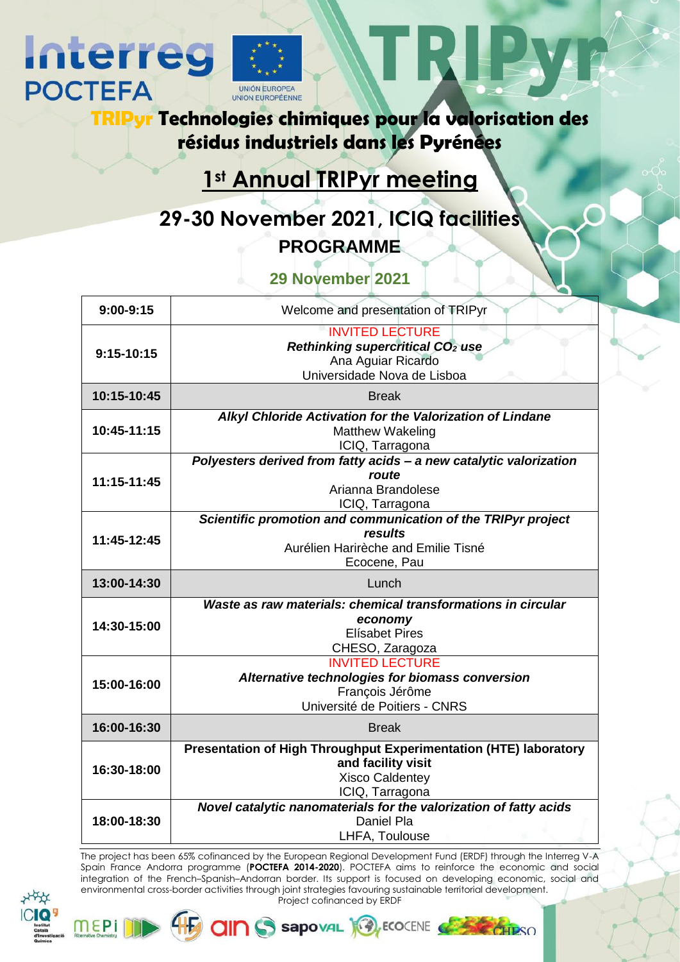

**Interreg** 

**POCTEFA** 

**TRIPyr Technologies chimiques pour la valorisation des résidus industriels dans les Pyrénées**

## **1st Annual TRIPyr meeting**

**29-30 November 2021, ICIQ facilities PROGRAMME**

## **29 November 2021**

| $9:00-9:15$  | Welcome and presentation of TRIPyr                                                                                                  |
|--------------|-------------------------------------------------------------------------------------------------------------------------------------|
| $9:15-10:15$ | <b>INVITED LECTURE</b><br>Rethinking supercritical CO <sub>2</sub> use<br>Ana Aguiar Ricardo<br>Universidade Nova de Lisboa         |
| 10:15-10:45  | <b>Break</b>                                                                                                                        |
| 10:45-11:15  | Alkyl Chloride Activation for the Valorization of Lindane<br><b>Matthew Wakeling</b><br>ICIQ, Tarragona                             |
| 11:15-11:45  | Polyesters derived from fatty acids - a new catalytic valorization<br>route<br>Arianna Brandolese<br>ICIQ, Tarragona                |
| 11:45-12:45  | Scientific promotion and communication of the TRIPyr project<br>results<br>Aurélien Harirèche and Emilie Tisné<br>Ecocene, Pau      |
| 13:00-14:30  | Lunch                                                                                                                               |
| 14:30-15:00  | Waste as raw materials: chemical transformations in circular<br>economy<br><b>Elísabet Pires</b><br>CHESO, Zaragoza                 |
| 15:00-16:00  | <b>INVITED LECTURE</b><br>Alternative technologies for biomass conversion<br>François Jérôme<br>Université de Poitiers - CNRS       |
| 16:00-16:30  | <b>Break</b>                                                                                                                        |
| 16:30-18:00  | Presentation of High Throughput Experimentation (HTE) laboratory<br>and facility visit<br><b>Xisco Caldentey</b><br>ICIQ, Tarragona |
| 18:00-18:30  | Novel catalytic nanomaterials for the valorization of fatty acids<br>Daniel Pla<br>LHFA, Toulouse                                   |

The project has been 65% cofinanced by the European Regional Development Fund (ERDF) through the Interreg V-A Spain France Andorra programme (**POCTEFA 2014-2020**). POCTEFA aims to reinforce the economic and social integration of the French–Spanish–Andorran border. Its support is focused on developing economic, social and environmental cross-border activities through joint strategies favouring sustainable territorial development. Project cofinanced by ERDF